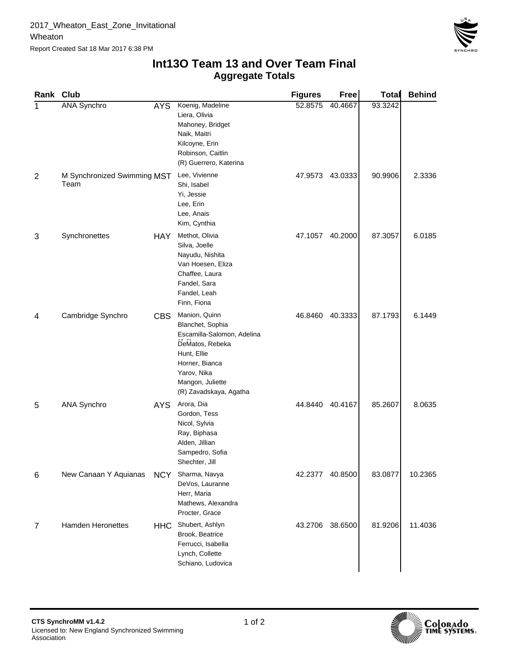

## **Aggregate Totals Int13O Team 13 and Over Team Final**

| Rank Club      |                                     |            |                                                                                                                                                                                  | <b>Figures</b> | Free    | <b>Total</b> | <b>Behind</b> |
|----------------|-------------------------------------|------------|----------------------------------------------------------------------------------------------------------------------------------------------------------------------------------|----------------|---------|--------------|---------------|
| 1              | <b>ANA Synchro</b>                  | <b>AYS</b> | Koenig, Madeline<br>Liera, Olivia<br>Mahoney, Bridget<br>Naik, Maitri<br>Kilcoyne, Erin<br>Robinson, Caitlin<br>(R) Guerrero, Katerina                                           | 52.8575        | 40.4667 | 93.3242      |               |
| $\overline{2}$ | M Synchronized Swimming MST<br>Team |            | Lee, Vivienne<br>Shi, Isabel<br>Yi, Jessie<br>Lee, Erin<br>Lee, Anais<br>Kim, Cynthia                                                                                            | 47.9573        | 43.0333 | 90.9906      | 2.3336        |
| 3              | Synchronettes                       | <b>HAY</b> | Methot, Olivia<br>Silva, Joelle<br>Nayudu, Nishita<br>Van Hoesen, Eliza<br>Chaffee, Laura<br>Fandel, Sara<br>Fandel, Leah<br>Finn, Fiona                                         | 47.1057        | 40.2000 | 87.3057      | 6.0185        |
| 4              | Cambridge Synchro                   | <b>CBS</b> | Manion, Quinn<br>Blanchet, Sophia<br>Escamilla-Salomon, Adelina<br>DeMatos, Rebeka<br>Hunt, Ellie<br>Horner, Bianca<br>Yarov, Nika<br>Mangon, Juliette<br>(R) Zavadskaya, Agatha | 46.8460        | 40.3333 | 87.1793      | 6.1449        |
| 5              | <b>ANA Synchro</b>                  | AYS.       | Arora, Dia<br>Gordon, Tess<br>Nicol, Sylvia<br>Ray, Biphasa<br>Alden, Jillian<br>Sampedro, Sofia<br>Shechter, Jill                                                               | 44.8440        | 40.4167 | 85.2607      | 8.0635        |
| 6              | New Canaan Y Aquianas               | <b>NCY</b> | Sharma, Navya<br>DeVos, Lauranne<br>Herr, Maria<br>Mathews, Alexandra<br>Procter, Grace                                                                                          | 42.2377        | 40.8500 | 83.0877      | 10.2365       |
| 7              | <b>Hamden Heronettes</b>            | HHC        | Shubert, Ashlyn<br>Brook, Beatrice<br>Ferrucci, Isabella<br>Lynch, Collette<br>Schiano, Ludovica                                                                                 | 43.2706        | 38.6500 | 81.9206      | 11.4036       |